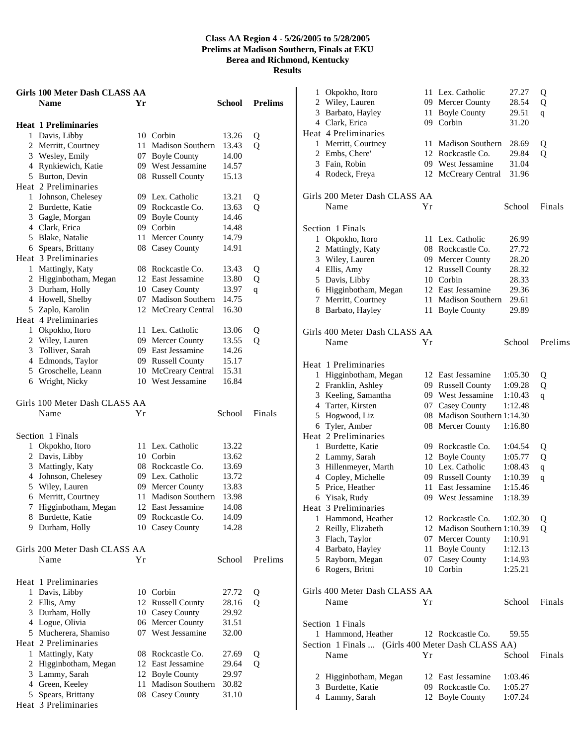|   | Girls 100 Meter Dash CLASS AA |    |                                             |        |                |
|---|-------------------------------|----|---------------------------------------------|--------|----------------|
|   | <b>Name</b>                   | Yr |                                             | School | <b>Prelims</b> |
|   | <b>Heat 1 Preliminaries</b>   |    |                                             |        |                |
|   | 1 Davis, Libby                |    | 10 Corbin                                   | 13.26  | Q              |
|   | 2 Merritt, Courtney           | 11 | <b>Madison Southern</b>                     | 13.43  | Q              |
|   | 3 Wesley, Emily               |    | 07 Boyle County                             | 14.00  |                |
|   | 4 Rynkiewich, Katie           |    | 09 West Jessamine                           | 14.57  |                |
|   | 5 Burton, Devin               |    | 08 Russell County                           | 15.13  |                |
|   | Heat 2 Preliminaries          |    |                                             |        |                |
|   | 1 Johnson, Chelesey           |    | 09 Lex. Catholic                            | 13.21  | Q              |
|   | 2 Burdette, Katie             |    | 09 Rockcastle Co.                           | 13.63  | Q              |
|   | 3 Gagle, Morgan               | 09 | <b>Boyle County</b>                         | 14.46  |                |
|   | 4 Clark, Erica                |    | 09 Corbin                                   | 14.48  |                |
|   | 5 Blake, Natalie              | 11 | Mercer County                               | 14.79  |                |
|   | 6 Spears, Brittany            |    | 08 Casey County                             | 14.91  |                |
|   | Heat 3 Preliminaries          |    |                                             |        |                |
|   | 1 Mattingly, Katy             |    | 08 Rockcastle Co.                           | 13.43  | Q              |
|   | 2 Higginbotham, Megan         |    | 12 East Jessamine                           | 13.80  | Q              |
|   | 3 Durham, Holly               |    | 10 Casey County                             | 13.97  | q              |
|   | 4 Howell, Shelby              |    | 07 Madison Southern                         | 14.75  |                |
|   | 5 Zaplo, Karolin              |    | 12 McCreary Central                         | 16.30  |                |
|   | Heat 4 Preliminaries          |    |                                             |        |                |
|   | 1 Okpokho, Itoro              |    | 11 Lex. Catholic                            | 13.06  | Q              |
|   | 2 Wiley, Lauren               |    | 09 Mercer County                            | 13.55  | Q              |
|   | 3 Tolliver, Sarah             |    | 09 East Jessamine                           | 14.26  |                |
|   | 4 Edmonds, Taylor             |    | 09 Russell County                           | 15.17  |                |
|   | 5 Groschelle, Leann           |    | 10 McCreary Central                         | 15.31  |                |
|   | 6 Wright, Nicky               |    | 10 West Jessamine                           | 16.84  |                |
|   |                               |    |                                             |        |                |
|   | Girls 100 Meter Dash CLASS AA |    |                                             |        |                |
|   | Name                          | Υr |                                             | School | Finals         |
|   | Section 1 Finals              |    |                                             |        |                |
| 1 | Okpokho, Itoro                |    | 11 Lex. Catholic                            | 13.22  |                |
|   | 2 Davis, Libby                |    | 10 Corbin                                   | 13.62  |                |
|   | 3 Mattingly, Katy             |    | 08 Rockcastle Co.                           | 13.69  |                |
|   | 4 Johnson, Chelesey           |    | 09 Lex. Catholic                            | 13.72  |                |
|   |                               |    |                                             |        |                |
|   | 5 Wiley, Lauren               |    | 09 Mercer County<br><b>Madison Southern</b> | 13.83  |                |
|   | 6 Merritt, Courtney           | 11 |                                             | 13.98  |                |
|   | 7 Higginbotham, Megan         |    | 12 East Jessamine<br>09 Rockcastle Co.      | 14.08  |                |
|   | 8 Burdette, Katie             |    |                                             | 14.09  |                |
|   | 9 Durham, Holly               |    | 10 Casey County                             | 14.28  |                |
|   | Girls 200 Meter Dash CLASS AA |    |                                             |        |                |
|   | Name                          | Υr |                                             | School | Prelims        |
|   |                               |    |                                             |        |                |
|   | Heat 1 Preliminaries          |    |                                             |        |                |
| 1 | Davis, Libby                  |    | 10 Corbin                                   | 27.72  | Q              |
|   | 2 Ellis, Amy                  |    | 12 Russell County                           | 28.16  | Q              |
|   | 3 Durham, Holly               |    | 10 Casey County                             | 29.92  |                |
|   | 4 Logue, Olivia               |    | 06 Mercer County                            | 31.51  |                |
|   | 5 Mucherera, Shamiso          |    | 07 West Jessamine                           | 32.00  |                |
|   | Heat 2 Preliminaries          |    |                                             |        |                |
| 1 | Mattingly, Katy               | 08 | Rockcastle Co.                              | 27.69  | Q              |
|   | 2 Higginbotham, Megan         | 12 | East Jessamine                              | 29.64  | Q              |
|   | 3 Lammy, Sarah                | 12 | <b>Boyle County</b>                         | 29.97  |                |
|   | 4 Green, Keeley               | 11 | Madison Southern                            | 30.82  |                |
| 5 | Spears, Brittany              | 08 | <b>Casey County</b>                         | 31.10  |                |

Heat 3 Preliminaries

| Okpokho, Itoro<br>11 Lex. Catholic<br>27.27<br>1<br>2 Wiley, Lauren<br>09 Mercer County<br>28.54<br>3 Barbato, Hayley<br><b>Boyle County</b><br>11-<br>29.51<br>09 Corbin<br>4 Clark, Erica<br>31.20<br>Merritt, Courtney<br><b>Madison Southern</b><br>28.69<br>1<br>11<br>2 Embs, Chere'<br>12 Rockcastle Co.<br>29.84<br>3 Fain, Robin<br>09 West Jessamine<br>31.04<br>4 Rodeck, Freya<br>12 McCreary Central<br>31.96<br>Name<br>Υr<br>School<br>Okpokho, Itoro<br>11 Lex. Catholic<br>26.99<br>1<br>$\overline{2}$<br>Mattingly, Katy<br>08 Rockcastle Co.<br>27.72<br>3<br>Wiley, Lauren<br>09 Mercer County<br>28.20<br>4 Ellis, Amy<br>12 Russell County<br>28.32<br>10 Corbin<br>5 Davis, Libby<br>28.33<br>6 Higginbotham, Megan<br>12 East Jessamine<br>29.36<br>Merritt, Courtney<br>Madison Southern<br>7<br>11-<br>29.61<br>8 Barbato, Hayley<br>11<br><b>Boyle County</b><br>29.89<br>School<br>Name<br>Υr<br>Higginbotham, Megan<br>12 East Jessamine<br>1:05.30<br>1<br>2 Franklin, Ashley<br>09 Russell County<br>1:09.28<br>3 Keeling, Samantha<br>09 West Jessamine<br>1:10.43<br>4 Tarter, Kirsten<br>Casey County<br>07<br>1:12.48<br>5<br>Hogwood, Liz<br>08<br>Madison Southern 1:14.30<br>Tyler, Amber<br>08 Mercer County<br>1:16.80<br>6<br>1 Burdette, Katie<br>09 Rockcastle Co.<br>1:04.54<br>2 Lammy, Sarah<br>12 Boyle County<br>1:05.77<br>10 Lex. Catholic<br>3 Hillenmeyer, Marth<br>1:08.43<br>4 Copley, Michelle<br>09 Russell County<br>1:10.39<br>Price, Heather<br>East Jessamine<br>5<br>11<br>1:15.46<br>Yisak, Rudy<br>09 West Jessamine<br>6<br>1:18.39<br>Hammond, Heather<br>12 Rockcastle Co.<br>1<br>1:02.30<br>Madison Southern 1:10.39<br>2 Reilly, Elizabeth<br>12<br>3 Flach, Taylor<br>07 Mercer County<br>1:10.91<br>4 Barbato, Hayley<br><b>Boyle County</b><br>11<br>1:12.13<br>Rayborn, Megan<br>07 Casey County<br>5.<br>1:14.93<br>10 Corbin<br>6 Rogers, Britni<br>1:25.21<br>Name<br>School<br>Υr<br>1 Hammond, Heather<br>12 Rockcastle Co.<br>59.55<br>Name<br>Υr<br>School<br>Higginbotham, Megan<br>12 East Jessamine<br>1:03.46<br>2<br>3<br>Burdette, Katie<br>09 Rockcastle Co.<br>1:05.27 |                |                 |         |              |
|-----------------------------------------------------------------------------------------------------------------------------------------------------------------------------------------------------------------------------------------------------------------------------------------------------------------------------------------------------------------------------------------------------------------------------------------------------------------------------------------------------------------------------------------------------------------------------------------------------------------------------------------------------------------------------------------------------------------------------------------------------------------------------------------------------------------------------------------------------------------------------------------------------------------------------------------------------------------------------------------------------------------------------------------------------------------------------------------------------------------------------------------------------------------------------------------------------------------------------------------------------------------------------------------------------------------------------------------------------------------------------------------------------------------------------------------------------------------------------------------------------------------------------------------------------------------------------------------------------------------------------------------------------------------------------------------------------------------------------------------------------------------------------------------------------------------------------------------------------------------------------------------------------------------------------------------------------------------------------------------------------------------------------------------------------------------------------------------------------------------------------------------------------------------|----------------|-----------------|---------|--------------|
|                                                                                                                                                                                                                                                                                                                                                                                                                                                                                                                                                                                                                                                                                                                                                                                                                                                                                                                                                                                                                                                                                                                                                                                                                                                                                                                                                                                                                                                                                                                                                                                                                                                                                                                                                                                                                                                                                                                                                                                                                                                                                                                                                                 |                |                 |         | Q            |
| Heat 4 Preliminaries<br>Girls 200 Meter Dash CLASS AA<br>Section 1 Finals<br>Girls 400 Meter Dash CLASS AA<br>Heat 1 Preliminaries<br>Heat 2 Preliminaries<br>Heat 3 Preliminaries<br>Girls 400 Meter Dash CLASS AA<br>Section 1 Finals<br>Section 1 Finals  (Girls 400 Meter Dash CLASS AA)                                                                                                                                                                                                                                                                                                                                                                                                                                                                                                                                                                                                                                                                                                                                                                                                                                                                                                                                                                                                                                                                                                                                                                                                                                                                                                                                                                                                                                                                                                                                                                                                                                                                                                                                                                                                                                                                    |                |                 |         | Q            |
|                                                                                                                                                                                                                                                                                                                                                                                                                                                                                                                                                                                                                                                                                                                                                                                                                                                                                                                                                                                                                                                                                                                                                                                                                                                                                                                                                                                                                                                                                                                                                                                                                                                                                                                                                                                                                                                                                                                                                                                                                                                                                                                                                                 |                |                 |         | $\mathbf{q}$ |
|                                                                                                                                                                                                                                                                                                                                                                                                                                                                                                                                                                                                                                                                                                                                                                                                                                                                                                                                                                                                                                                                                                                                                                                                                                                                                                                                                                                                                                                                                                                                                                                                                                                                                                                                                                                                                                                                                                                                                                                                                                                                                                                                                                 |                |                 |         |              |
|                                                                                                                                                                                                                                                                                                                                                                                                                                                                                                                                                                                                                                                                                                                                                                                                                                                                                                                                                                                                                                                                                                                                                                                                                                                                                                                                                                                                                                                                                                                                                                                                                                                                                                                                                                                                                                                                                                                                                                                                                                                                                                                                                                 |                |                 |         |              |
|                                                                                                                                                                                                                                                                                                                                                                                                                                                                                                                                                                                                                                                                                                                                                                                                                                                                                                                                                                                                                                                                                                                                                                                                                                                                                                                                                                                                                                                                                                                                                                                                                                                                                                                                                                                                                                                                                                                                                                                                                                                                                                                                                                 |                |                 |         | Q            |
|                                                                                                                                                                                                                                                                                                                                                                                                                                                                                                                                                                                                                                                                                                                                                                                                                                                                                                                                                                                                                                                                                                                                                                                                                                                                                                                                                                                                                                                                                                                                                                                                                                                                                                                                                                                                                                                                                                                                                                                                                                                                                                                                                                 |                |                 |         | Q            |
|                                                                                                                                                                                                                                                                                                                                                                                                                                                                                                                                                                                                                                                                                                                                                                                                                                                                                                                                                                                                                                                                                                                                                                                                                                                                                                                                                                                                                                                                                                                                                                                                                                                                                                                                                                                                                                                                                                                                                                                                                                                                                                                                                                 |                |                 |         |              |
|                                                                                                                                                                                                                                                                                                                                                                                                                                                                                                                                                                                                                                                                                                                                                                                                                                                                                                                                                                                                                                                                                                                                                                                                                                                                                                                                                                                                                                                                                                                                                                                                                                                                                                                                                                                                                                                                                                                                                                                                                                                                                                                                                                 |                |                 |         |              |
|                                                                                                                                                                                                                                                                                                                                                                                                                                                                                                                                                                                                                                                                                                                                                                                                                                                                                                                                                                                                                                                                                                                                                                                                                                                                                                                                                                                                                                                                                                                                                                                                                                                                                                                                                                                                                                                                                                                                                                                                                                                                                                                                                                 |                |                 |         |              |
|                                                                                                                                                                                                                                                                                                                                                                                                                                                                                                                                                                                                                                                                                                                                                                                                                                                                                                                                                                                                                                                                                                                                                                                                                                                                                                                                                                                                                                                                                                                                                                                                                                                                                                                                                                                                                                                                                                                                                                                                                                                                                                                                                                 |                |                 |         | Finals       |
|                                                                                                                                                                                                                                                                                                                                                                                                                                                                                                                                                                                                                                                                                                                                                                                                                                                                                                                                                                                                                                                                                                                                                                                                                                                                                                                                                                                                                                                                                                                                                                                                                                                                                                                                                                                                                                                                                                                                                                                                                                                                                                                                                                 |                |                 |         |              |
|                                                                                                                                                                                                                                                                                                                                                                                                                                                                                                                                                                                                                                                                                                                                                                                                                                                                                                                                                                                                                                                                                                                                                                                                                                                                                                                                                                                                                                                                                                                                                                                                                                                                                                                                                                                                                                                                                                                                                                                                                                                                                                                                                                 |                |                 |         |              |
|                                                                                                                                                                                                                                                                                                                                                                                                                                                                                                                                                                                                                                                                                                                                                                                                                                                                                                                                                                                                                                                                                                                                                                                                                                                                                                                                                                                                                                                                                                                                                                                                                                                                                                                                                                                                                                                                                                                                                                                                                                                                                                                                                                 |                |                 |         |              |
|                                                                                                                                                                                                                                                                                                                                                                                                                                                                                                                                                                                                                                                                                                                                                                                                                                                                                                                                                                                                                                                                                                                                                                                                                                                                                                                                                                                                                                                                                                                                                                                                                                                                                                                                                                                                                                                                                                                                                                                                                                                                                                                                                                 |                |                 |         |              |
|                                                                                                                                                                                                                                                                                                                                                                                                                                                                                                                                                                                                                                                                                                                                                                                                                                                                                                                                                                                                                                                                                                                                                                                                                                                                                                                                                                                                                                                                                                                                                                                                                                                                                                                                                                                                                                                                                                                                                                                                                                                                                                                                                                 |                |                 |         |              |
|                                                                                                                                                                                                                                                                                                                                                                                                                                                                                                                                                                                                                                                                                                                                                                                                                                                                                                                                                                                                                                                                                                                                                                                                                                                                                                                                                                                                                                                                                                                                                                                                                                                                                                                                                                                                                                                                                                                                                                                                                                                                                                                                                                 |                |                 |         |              |
|                                                                                                                                                                                                                                                                                                                                                                                                                                                                                                                                                                                                                                                                                                                                                                                                                                                                                                                                                                                                                                                                                                                                                                                                                                                                                                                                                                                                                                                                                                                                                                                                                                                                                                                                                                                                                                                                                                                                                                                                                                                                                                                                                                 |                |                 |         |              |
|                                                                                                                                                                                                                                                                                                                                                                                                                                                                                                                                                                                                                                                                                                                                                                                                                                                                                                                                                                                                                                                                                                                                                                                                                                                                                                                                                                                                                                                                                                                                                                                                                                                                                                                                                                                                                                                                                                                                                                                                                                                                                                                                                                 |                |                 |         |              |
|                                                                                                                                                                                                                                                                                                                                                                                                                                                                                                                                                                                                                                                                                                                                                                                                                                                                                                                                                                                                                                                                                                                                                                                                                                                                                                                                                                                                                                                                                                                                                                                                                                                                                                                                                                                                                                                                                                                                                                                                                                                                                                                                                                 |                |                 |         |              |
|                                                                                                                                                                                                                                                                                                                                                                                                                                                                                                                                                                                                                                                                                                                                                                                                                                                                                                                                                                                                                                                                                                                                                                                                                                                                                                                                                                                                                                                                                                                                                                                                                                                                                                                                                                                                                                                                                                                                                                                                                                                                                                                                                                 |                |                 |         |              |
|                                                                                                                                                                                                                                                                                                                                                                                                                                                                                                                                                                                                                                                                                                                                                                                                                                                                                                                                                                                                                                                                                                                                                                                                                                                                                                                                                                                                                                                                                                                                                                                                                                                                                                                                                                                                                                                                                                                                                                                                                                                                                                                                                                 |                |                 |         |              |
|                                                                                                                                                                                                                                                                                                                                                                                                                                                                                                                                                                                                                                                                                                                                                                                                                                                                                                                                                                                                                                                                                                                                                                                                                                                                                                                                                                                                                                                                                                                                                                                                                                                                                                                                                                                                                                                                                                                                                                                                                                                                                                                                                                 |                |                 |         | Prelims      |
|                                                                                                                                                                                                                                                                                                                                                                                                                                                                                                                                                                                                                                                                                                                                                                                                                                                                                                                                                                                                                                                                                                                                                                                                                                                                                                                                                                                                                                                                                                                                                                                                                                                                                                                                                                                                                                                                                                                                                                                                                                                                                                                                                                 |                |                 |         |              |
|                                                                                                                                                                                                                                                                                                                                                                                                                                                                                                                                                                                                                                                                                                                                                                                                                                                                                                                                                                                                                                                                                                                                                                                                                                                                                                                                                                                                                                                                                                                                                                                                                                                                                                                                                                                                                                                                                                                                                                                                                                                                                                                                                                 |                |                 |         | Q            |
|                                                                                                                                                                                                                                                                                                                                                                                                                                                                                                                                                                                                                                                                                                                                                                                                                                                                                                                                                                                                                                                                                                                                                                                                                                                                                                                                                                                                                                                                                                                                                                                                                                                                                                                                                                                                                                                                                                                                                                                                                                                                                                                                                                 |                |                 |         | Q            |
|                                                                                                                                                                                                                                                                                                                                                                                                                                                                                                                                                                                                                                                                                                                                                                                                                                                                                                                                                                                                                                                                                                                                                                                                                                                                                                                                                                                                                                                                                                                                                                                                                                                                                                                                                                                                                                                                                                                                                                                                                                                                                                                                                                 |                |                 |         | q            |
|                                                                                                                                                                                                                                                                                                                                                                                                                                                                                                                                                                                                                                                                                                                                                                                                                                                                                                                                                                                                                                                                                                                                                                                                                                                                                                                                                                                                                                                                                                                                                                                                                                                                                                                                                                                                                                                                                                                                                                                                                                                                                                                                                                 |                |                 |         |              |
|                                                                                                                                                                                                                                                                                                                                                                                                                                                                                                                                                                                                                                                                                                                                                                                                                                                                                                                                                                                                                                                                                                                                                                                                                                                                                                                                                                                                                                                                                                                                                                                                                                                                                                                                                                                                                                                                                                                                                                                                                                                                                                                                                                 |                |                 |         |              |
|                                                                                                                                                                                                                                                                                                                                                                                                                                                                                                                                                                                                                                                                                                                                                                                                                                                                                                                                                                                                                                                                                                                                                                                                                                                                                                                                                                                                                                                                                                                                                                                                                                                                                                                                                                                                                                                                                                                                                                                                                                                                                                                                                                 |                |                 |         |              |
|                                                                                                                                                                                                                                                                                                                                                                                                                                                                                                                                                                                                                                                                                                                                                                                                                                                                                                                                                                                                                                                                                                                                                                                                                                                                                                                                                                                                                                                                                                                                                                                                                                                                                                                                                                                                                                                                                                                                                                                                                                                                                                                                                                 |                |                 |         |              |
|                                                                                                                                                                                                                                                                                                                                                                                                                                                                                                                                                                                                                                                                                                                                                                                                                                                                                                                                                                                                                                                                                                                                                                                                                                                                                                                                                                                                                                                                                                                                                                                                                                                                                                                                                                                                                                                                                                                                                                                                                                                                                                                                                                 |                |                 |         | Q            |
|                                                                                                                                                                                                                                                                                                                                                                                                                                                                                                                                                                                                                                                                                                                                                                                                                                                                                                                                                                                                                                                                                                                                                                                                                                                                                                                                                                                                                                                                                                                                                                                                                                                                                                                                                                                                                                                                                                                                                                                                                                                                                                                                                                 |                |                 |         | Q            |
|                                                                                                                                                                                                                                                                                                                                                                                                                                                                                                                                                                                                                                                                                                                                                                                                                                                                                                                                                                                                                                                                                                                                                                                                                                                                                                                                                                                                                                                                                                                                                                                                                                                                                                                                                                                                                                                                                                                                                                                                                                                                                                                                                                 |                |                 |         | $\bf q$      |
|                                                                                                                                                                                                                                                                                                                                                                                                                                                                                                                                                                                                                                                                                                                                                                                                                                                                                                                                                                                                                                                                                                                                                                                                                                                                                                                                                                                                                                                                                                                                                                                                                                                                                                                                                                                                                                                                                                                                                                                                                                                                                                                                                                 |                |                 |         | q            |
|                                                                                                                                                                                                                                                                                                                                                                                                                                                                                                                                                                                                                                                                                                                                                                                                                                                                                                                                                                                                                                                                                                                                                                                                                                                                                                                                                                                                                                                                                                                                                                                                                                                                                                                                                                                                                                                                                                                                                                                                                                                                                                                                                                 |                |                 |         |              |
|                                                                                                                                                                                                                                                                                                                                                                                                                                                                                                                                                                                                                                                                                                                                                                                                                                                                                                                                                                                                                                                                                                                                                                                                                                                                                                                                                                                                                                                                                                                                                                                                                                                                                                                                                                                                                                                                                                                                                                                                                                                                                                                                                                 |                |                 |         |              |
|                                                                                                                                                                                                                                                                                                                                                                                                                                                                                                                                                                                                                                                                                                                                                                                                                                                                                                                                                                                                                                                                                                                                                                                                                                                                                                                                                                                                                                                                                                                                                                                                                                                                                                                                                                                                                                                                                                                                                                                                                                                                                                                                                                 |                |                 |         |              |
|                                                                                                                                                                                                                                                                                                                                                                                                                                                                                                                                                                                                                                                                                                                                                                                                                                                                                                                                                                                                                                                                                                                                                                                                                                                                                                                                                                                                                                                                                                                                                                                                                                                                                                                                                                                                                                                                                                                                                                                                                                                                                                                                                                 |                |                 |         | Q            |
|                                                                                                                                                                                                                                                                                                                                                                                                                                                                                                                                                                                                                                                                                                                                                                                                                                                                                                                                                                                                                                                                                                                                                                                                                                                                                                                                                                                                                                                                                                                                                                                                                                                                                                                                                                                                                                                                                                                                                                                                                                                                                                                                                                 |                |                 |         | Q            |
|                                                                                                                                                                                                                                                                                                                                                                                                                                                                                                                                                                                                                                                                                                                                                                                                                                                                                                                                                                                                                                                                                                                                                                                                                                                                                                                                                                                                                                                                                                                                                                                                                                                                                                                                                                                                                                                                                                                                                                                                                                                                                                                                                                 |                |                 |         |              |
|                                                                                                                                                                                                                                                                                                                                                                                                                                                                                                                                                                                                                                                                                                                                                                                                                                                                                                                                                                                                                                                                                                                                                                                                                                                                                                                                                                                                                                                                                                                                                                                                                                                                                                                                                                                                                                                                                                                                                                                                                                                                                                                                                                 |                |                 |         |              |
|                                                                                                                                                                                                                                                                                                                                                                                                                                                                                                                                                                                                                                                                                                                                                                                                                                                                                                                                                                                                                                                                                                                                                                                                                                                                                                                                                                                                                                                                                                                                                                                                                                                                                                                                                                                                                                                                                                                                                                                                                                                                                                                                                                 |                |                 |         |              |
|                                                                                                                                                                                                                                                                                                                                                                                                                                                                                                                                                                                                                                                                                                                                                                                                                                                                                                                                                                                                                                                                                                                                                                                                                                                                                                                                                                                                                                                                                                                                                                                                                                                                                                                                                                                                                                                                                                                                                                                                                                                                                                                                                                 |                |                 |         |              |
|                                                                                                                                                                                                                                                                                                                                                                                                                                                                                                                                                                                                                                                                                                                                                                                                                                                                                                                                                                                                                                                                                                                                                                                                                                                                                                                                                                                                                                                                                                                                                                                                                                                                                                                                                                                                                                                                                                                                                                                                                                                                                                                                                                 |                |                 |         |              |
|                                                                                                                                                                                                                                                                                                                                                                                                                                                                                                                                                                                                                                                                                                                                                                                                                                                                                                                                                                                                                                                                                                                                                                                                                                                                                                                                                                                                                                                                                                                                                                                                                                                                                                                                                                                                                                                                                                                                                                                                                                                                                                                                                                 |                |                 |         |              |
|                                                                                                                                                                                                                                                                                                                                                                                                                                                                                                                                                                                                                                                                                                                                                                                                                                                                                                                                                                                                                                                                                                                                                                                                                                                                                                                                                                                                                                                                                                                                                                                                                                                                                                                                                                                                                                                                                                                                                                                                                                                                                                                                                                 |                |                 |         | Finals       |
|                                                                                                                                                                                                                                                                                                                                                                                                                                                                                                                                                                                                                                                                                                                                                                                                                                                                                                                                                                                                                                                                                                                                                                                                                                                                                                                                                                                                                                                                                                                                                                                                                                                                                                                                                                                                                                                                                                                                                                                                                                                                                                                                                                 |                |                 |         |              |
|                                                                                                                                                                                                                                                                                                                                                                                                                                                                                                                                                                                                                                                                                                                                                                                                                                                                                                                                                                                                                                                                                                                                                                                                                                                                                                                                                                                                                                                                                                                                                                                                                                                                                                                                                                                                                                                                                                                                                                                                                                                                                                                                                                 |                |                 |         |              |
|                                                                                                                                                                                                                                                                                                                                                                                                                                                                                                                                                                                                                                                                                                                                                                                                                                                                                                                                                                                                                                                                                                                                                                                                                                                                                                                                                                                                                                                                                                                                                                                                                                                                                                                                                                                                                                                                                                                                                                                                                                                                                                                                                                 |                |                 |         |              |
|                                                                                                                                                                                                                                                                                                                                                                                                                                                                                                                                                                                                                                                                                                                                                                                                                                                                                                                                                                                                                                                                                                                                                                                                                                                                                                                                                                                                                                                                                                                                                                                                                                                                                                                                                                                                                                                                                                                                                                                                                                                                                                                                                                 |                |                 |         | Finals       |
|                                                                                                                                                                                                                                                                                                                                                                                                                                                                                                                                                                                                                                                                                                                                                                                                                                                                                                                                                                                                                                                                                                                                                                                                                                                                                                                                                                                                                                                                                                                                                                                                                                                                                                                                                                                                                                                                                                                                                                                                                                                                                                                                                                 |                |                 |         |              |
|                                                                                                                                                                                                                                                                                                                                                                                                                                                                                                                                                                                                                                                                                                                                                                                                                                                                                                                                                                                                                                                                                                                                                                                                                                                                                                                                                                                                                                                                                                                                                                                                                                                                                                                                                                                                                                                                                                                                                                                                                                                                                                                                                                 |                |                 |         |              |
|                                                                                                                                                                                                                                                                                                                                                                                                                                                                                                                                                                                                                                                                                                                                                                                                                                                                                                                                                                                                                                                                                                                                                                                                                                                                                                                                                                                                                                                                                                                                                                                                                                                                                                                                                                                                                                                                                                                                                                                                                                                                                                                                                                 | 4 Lammy, Sarah | 12 Boyle County | 1:07.24 |              |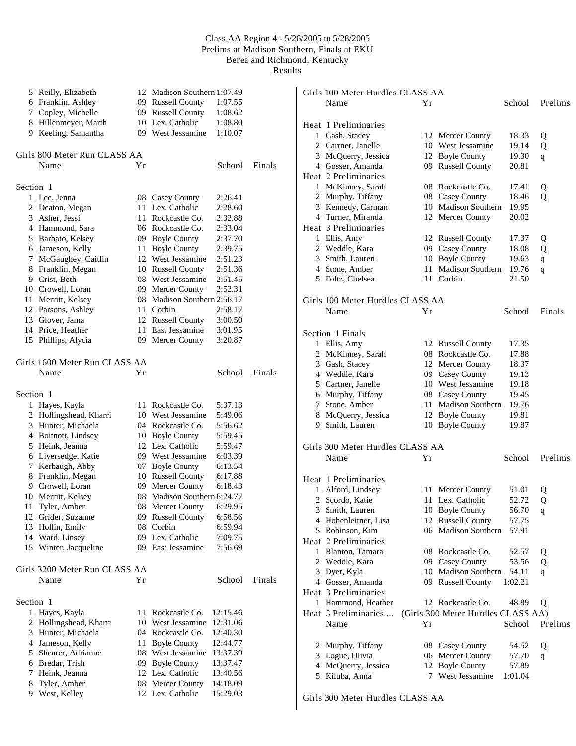Results

|           | 5 Reilly, Elizabeth           |    | 12 Madison Southern 1:07.49         |          |        |
|-----------|-------------------------------|----|-------------------------------------|----------|--------|
|           | 6 Franklin, Ashley            |    | 09 Russell County                   | 1:07.55  |        |
| 7         | Copley, Michelle              |    | 09 Russell County                   | 1:08.62  |        |
| 8         | Hillenmeyer, Marth            |    | 10 Lex. Catholic                    | 1:08.80  |        |
| 9         | Keeling, Samantha             |    | 09 West Jessamine                   | 1:10.07  |        |
|           |                               |    |                                     |          |        |
|           | Girls 800 Meter Run CLASS AA  |    |                                     |          |        |
|           | Name                          | Υr |                                     | School   | Finals |
| Section 1 |                               |    |                                     |          |        |
|           | 1 Lee, Jenna                  |    |                                     | 2:26.41  |        |
|           | 2 Deaton, Megan               |    | 08 Casey County<br>11 Lex. Catholic | 2:28.60  |        |
|           | 3 Asher, Jessi                |    | 11 Rockcastle Co.                   | 2:32.88  |        |
|           | 4 Hammond, Sara               |    | 06 Rockcastle Co.                   | 2:33.04  |        |
|           | 5 Barbato, Kelsey             |    | 09 Boyle County                     | 2:37.70  |        |
|           | 6 Jameson, Kelly              | 11 | <b>Boyle County</b>                 | 2:39.75  |        |
| 7         | McGaughey, Caitlin            |    | 12 West Jessamine                   | 2:51.23  |        |
|           | 8 Franklin, Megan             |    | 10 Russell County                   | 2:51.36  |        |
|           | 9 Crist, Beth                 |    | 08 West Jessamine                   | 2:51.45  |        |
|           | 10 Crowell, Loran             |    | 09 Mercer County                    | 2:52.31  |        |
| 11        | Merritt, Kelsey               |    | 08 Madison Southern 2:56.17         |          |        |
|           | 12 Parsons, Ashley            |    | 11 Corbin                           | 2:58.17  |        |
|           | 13 Glover, Jama               |    | 12 Russell County                   | 3:00.50  |        |
|           | 14 Price, Heather             |    | 11 East Jessamine                   | 3:01.95  |        |
|           | 15 Phillips, Alycia           |    | 09 Mercer County                    | 3:20.87  |        |
|           |                               |    |                                     |          |        |
|           | Girls 1600 Meter Run CLASS AA |    |                                     |          |        |
|           | Name                          | Υr |                                     | School   | Finals |
| Section 1 |                               |    |                                     |          |        |
| 1         | Hayes, Kayla                  |    | 11 Rockcastle Co.                   | 5:37.13  |        |
|           | 2 Hollingshead, Kharri        |    | 10 West Jessamine                   | 5:49.06  |        |
|           | 3 Hunter, Michaela            |    | 04 Rockcastle Co.                   | 5:56.62  |        |
|           | 4 Boitnott, Lindsey           |    | 10 Boyle County                     | 5:59.45  |        |
|           | 5 Heink, Jeanna               |    | 12 Lex. Catholic                    | 5:59.47  |        |
|           | 6 Liversedge, Katie           |    | 09 West Jessamine                   | 6:03.39  |        |
| 7         | Kerbaugh, Abby                |    | 07 Boyle County                     | 6:13.54  |        |
| 8         | Franklin, Megan               |    | 10 Russell County                   | 6:17.88  |        |
|           | 9 Crowell, Loran              |    | 09 Mercer County                    | 6:18.43  |        |
|           | 10 Merritt, Kelsey            |    | 08 Madison Southern 6:24.77         |          |        |
|           | 11 Tyler, Amber               |    | 08 Mercer County 6:29.95            |          |        |
|           | 12 Grider, Suzanne            |    | 09 Russell County                   | 6:58.56  |        |
| 13        | Hollin, Emily                 | 08 | Corbin                              | 6:59.94  |        |
| 14        | Ward, Linsey                  |    | 09 Lex. Catholic                    | 7:09.75  |        |
|           | 15 Winter, Jacqueline         |    | 09 East Jessamine                   | 7:56.69  |        |
|           | Girls 3200 Meter Run CLASS AA |    |                                     |          |        |
|           | Name                          | Υr |                                     | School   | Finals |
|           |                               |    |                                     |          |        |
| Section 1 |                               |    |                                     |          |        |
| 1         | Hayes, Kayla                  | 11 | Rockcastle Co.                      | 12:15.46 |        |
| 2         | Hollingshead, Kharri          |    | 10 West Jessamine                   | 12:31.06 |        |
| 3         | Hunter, Michaela              |    | 04 Rockcastle Co.                   | 12:40.30 |        |
|           | 4 Jameson, Kelly              |    | 11 Boyle County                     | 12:44.77 |        |
| 5         | Shearer, Adrianne             |    | 08 West Jessamine                   | 13:37.39 |        |
| 6         | Bredar, Trish                 |    | 09 Boyle County                     | 13:37.47 |        |
| 7         | Heink, Jeanna                 | 12 | Lex. Catholic                       | 13:40.56 |        |
| 8         | Tyler, Amber                  | 08 | Mercer County                       | 14:18.09 |        |
| 9         | West, Kelley                  |    | 12 Lex. Catholic                    | 15:29.03 |        |

|   | Girls 100 Meter Hurdles CLASS AA |    |                                    |         |             |  |
|---|----------------------------------|----|------------------------------------|---------|-------------|--|
|   | Name                             | Υr |                                    | School  | Prelims     |  |
|   |                                  |    |                                    |         |             |  |
|   | Heat 1 Preliminaries             |    |                                    |         |             |  |
|   | 1 Gash, Stacey                   |    | 12 Mercer County                   | 18.33   | Q           |  |
|   | 2 Cartner, Janelle               |    | 10 West Jessamine                  | 19.14   | Q           |  |
|   | 3 McQuerry, Jessica              |    | 12 Boyle County                    | 19.30   | q           |  |
|   | 4 Gosser, Amanda                 |    | 09 Russell County                  | 20.81   |             |  |
|   | Heat 2 Preliminaries             |    |                                    |         |             |  |
|   | 1 McKinney, Sarah                |    | 08 Rockcastle Co.                  | 17.41   |             |  |
|   | 2 Murphy, Tiffany                |    | 08 Casey County                    | 18.46   | Q<br>Q      |  |
|   | 3 Kennedy, Carman                |    | 10 Madison Southern                |         |             |  |
|   |                                  |    |                                    | 19.95   |             |  |
|   | 4 Turner, Miranda                |    | 12 Mercer County                   | 20.02   |             |  |
|   | Heat 3 Preliminaries             |    |                                    |         |             |  |
|   | 1 Ellis, Amy                     |    | 12 Russell County                  | 17.37   | Q           |  |
|   | 2 Weddle, Kara                   |    | 09 Casey County                    | 18.08   | Q           |  |
|   | 3 Smith, Lauren                  |    | 10 Boyle County                    | 19.63   | $\mathbf q$ |  |
|   | 4 Stone, Amber                   |    | 11 Madison Southern                | 19.76   | q           |  |
|   | 5 Foltz, Chelsea                 |    | 11 Corbin                          | 21.50   |             |  |
|   |                                  |    |                                    |         |             |  |
|   | Girls 100 Meter Hurdles CLASS AA |    |                                    |         |             |  |
|   | Name                             | Υr |                                    | School  | Finals      |  |
|   |                                  |    |                                    |         |             |  |
|   | Section 1 Finals                 |    |                                    |         |             |  |
|   | 1 Ellis, Amy                     |    | 12 Russell County                  | 17.35   |             |  |
|   | 2 McKinney, Sarah                |    | 08 Rockcastle Co.                  | 17.88   |             |  |
|   | 3 Gash, Stacey                   |    | 12 Mercer County                   | 18.37   |             |  |
|   | 4 Weddle, Kara                   |    | 09 Casey County                    | 19.13   |             |  |
|   | 5 Cartner, Janelle               |    | 10 West Jessamine                  | 19.18   |             |  |
|   |                                  |    |                                    | 19.45   |             |  |
|   | 6 Murphy, Tiffany                |    | 08 Casey County                    |         |             |  |
|   | 7 Stone, Amber                   |    | 11 Madison Southern                | 19.76   |             |  |
|   | 8 McQuerry, Jessica              |    | 12 Boyle County                    | 19.81   |             |  |
|   | 9 Smith, Lauren                  |    | 10 Boyle County                    | 19.87   |             |  |
|   |                                  |    |                                    |         |             |  |
|   | Girls 300 Meter Hurdles CLASS AA |    |                                    |         |             |  |
|   | Name                             | Υr |                                    | School  | Prelims     |  |
|   |                                  |    |                                    |         |             |  |
|   | Heat 1 Preliminaries             |    |                                    |         |             |  |
|   | 1 Alford, Lindsey                |    | 11 Mercer County                   | 51.01   | Q           |  |
| 2 | Scordo, Katie                    |    | 11 Lex. Catholic                   | 52.72   | Q           |  |
|   | 3 Smith, Lauren                  |    | 10 Boyle County                    | 56.70   | q           |  |
|   | 4 Hohenleitner, Lisa             |    | 12 Russell County                  | 57.75   |             |  |
|   | 5 Robinson, Kim                  |    | 06 Madison Southern                | 57.91   |             |  |
|   | Heat 2 Preliminaries             |    |                                    |         |             |  |
|   | 1 Blanton, Tamara                |    | 08 Rockcastle Co.                  | 52.57   | Q           |  |
|   | 2 Weddle, Kara                   |    | 09 Casey County                    | 53.56   | Q           |  |
|   | 3 Dyer, Kyla                     |    | 10 Madison Southern                | 54.11   |             |  |
|   | 4 Gosser, Amanda                 |    | 09 Russell County                  | 1:02.21 | q           |  |
|   | Heat 3 Preliminaries             |    |                                    |         |             |  |
|   | 1 Hammond, Heather               |    |                                    |         |             |  |
|   |                                  |    | 12 Rockcastle Co.                  | 48.89   | Q           |  |
|   | Heat 3 Preliminaries             |    | (Girls 300 Meter Hurdles CLASS AA) |         |             |  |
|   | Name                             | Υr |                                    | School  | Prelims     |  |
|   |                                  |    |                                    |         |             |  |
|   | 2 Murphy, Tiffany                |    | 08 Casey County                    | 54.52   | Q           |  |
|   | 3 Logue, Olivia                  |    | 06 Mercer County                   | 57.70   | q           |  |
|   | 4 McQuerry, Jessica              |    | 12 Boyle County                    | 57.89   |             |  |
|   | 5 Kiluba, Anna                   | 7  | West Jessamine                     | 1:01.04 |             |  |
|   |                                  |    |                                    |         |             |  |

Girls 300 Meter Hurdles CLASS AA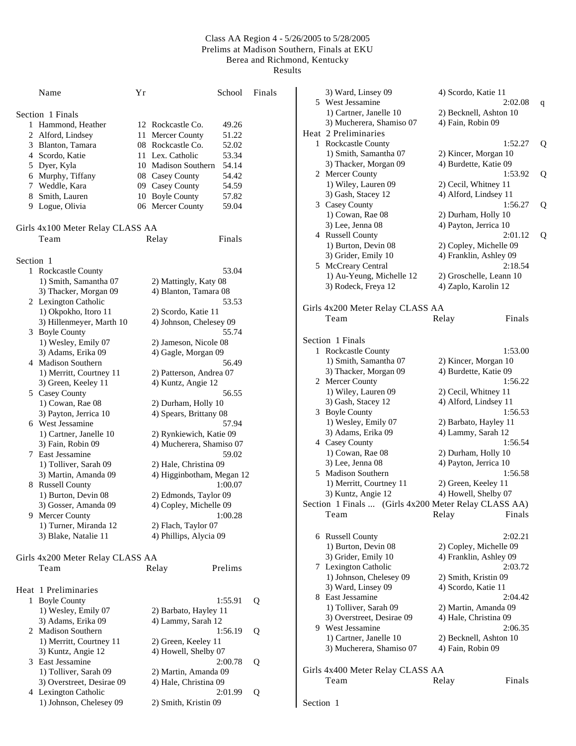|           | Name                               | Υr |                           | School  | Finals |
|-----------|------------------------------------|----|---------------------------|---------|--------|
|           | Section 1 Finals                   |    |                           |         |        |
| 1         | Hammond, Heather                   |    | 12 Rockcastle Co.         | 49.26   |        |
|           | 2 Alford, Lindsey                  |    | 11 Mercer County          | 51.22   |        |
|           | 3 Blanton, Tamara                  |    | 08 Rockcastle Co.         | 52.02   |        |
|           | 4 Scordo, Katie                    |    | 11 Lex. Catholic          | 53.34   |        |
|           | 5 Dyer, Kyla                       |    | 10 Madison Southern       | 54.14   |        |
|           | 6 Murphy, Tiffany                  |    | 08 Casey County           | 54.42   |        |
|           | 7 Weddle, Kara                     |    | 09 Casey County           | 54.59   |        |
|           |                                    |    | 10 Boyle County           | 57.82   |        |
|           | 8 Smith, Lauren<br>9 Logue, Olivia |    | 06 Mercer County          | 59.04   |        |
|           |                                    |    |                           |         |        |
|           | Girls 4x100 Meter Relay CLASS AA   |    |                           |         |        |
|           | Team                               |    | Relay                     | Finals  |        |
| Section 1 |                                    |    |                           |         |        |
|           | 1 Rockcastle County                |    |                           | 53.04   |        |
|           | 1) Smith, Samantha 07              |    | 2) Mattingly, Katy 08     |         |        |
|           | 3) Thacker, Morgan 09              |    | 4) Blanton, Tamara 08     |         |        |
|           | 2 Lexington Catholic               |    |                           | 53.53   |        |
|           | 1) Okpokho, Itoro 11               |    | 2) Scordo, Katie 11       |         |        |
|           | 3) Hillenmeyer, Marth 10           |    | 4) Johnson, Chelesey 09   |         |        |
|           | 3 Boyle County                     |    |                           | 55.74   |        |
|           | 1) Wesley, Emily 07                |    | 2) Jameson, Nicole 08     |         |        |
|           | 3) Adams, Erika 09                 |    | 4) Gagle, Morgan 09       |         |        |
|           | 4 Madison Southern                 |    |                           | 56.49   |        |
|           | 1) Merritt, Courtney 11            |    | 2) Patterson, Andrea 07   |         |        |
|           | 3) Green, Keeley 11                |    | 4) Kuntz, Angie 12        |         |        |
|           | 5 Casey County                     |    |                           | 56.55   |        |
|           | 1) Cowan, Rae 08                   |    | 2) Durham, Holly 10       |         |        |
|           | 3) Payton, Jerrica 10              |    | 4) Spears, Brittany 08    |         |        |
|           | 6 West Jessamine                   |    |                           | 57.94   |        |
|           |                                    |    |                           |         |        |
|           | 1) Cartner, Janelle 10             |    | 2) Rynkiewich, Katie 09   |         |        |
|           | 3) Fain, Robin 09                  |    | 4) Mucherera, Shamiso 07  |         |        |
|           | 7 East Jessamine                   |    |                           | 59.02   |        |
|           | 1) Tolliver, Sarah 09              |    | 2) Hale, Christina 09     |         |        |
|           | 3) Martin, Amanda 09               |    | 4) Higginbotham, Megan 12 |         |        |
|           | 8 Russell County                   |    |                           | 1:00.07 |        |
|           | 1) Burton, Devin 08                |    | 2) Edmonds, Taylor 09     |         |        |
|           | 3) Gosser, Amanda 09               |    | 4) Copley, Michelle 09    |         |        |
|           | 9 Mercer County                    |    |                           | 1:00.28 |        |
|           | 1) Turner, Miranda 12              |    | 2) Flach, Taylor 07       |         |        |
|           | 3) Blake, Natalie 11               |    | 4) Phillips, Alycia 09    |         |        |
|           | Girls 4x200 Meter Relay CLASS AA   |    |                           |         |        |
|           | Team                               |    | Relay                     | Prelims |        |
|           | Heat 1 Preliminaries               |    |                           |         |        |
|           | 1 Boyle County                     |    |                           | 1:55.91 | Q      |
|           | 1) Wesley, Emily 07                |    | 2) Barbato, Hayley 11     |         |        |
|           |                                    |    | 4) Lammy, Sarah 12        |         |        |
|           | 3) Adams, Erika 09                 |    |                           |         |        |
|           | 2 Madison Southern                 |    |                           | 1:56.19 | Q      |
|           | 1) Merritt, Courtney 11            |    | 2) Green, Keeley 11       |         |        |
|           | 3) Kuntz, Angie 12                 |    | 4) Howell, Shelby 07      |         |        |
|           | 3 East Jessamine                   |    |                           | 2:00.78 | Q      |
|           | 1) Tolliver, Sarah 09              |    | 2) Martin, Amanda 09      |         |        |
|           | 3) Overstreet, Desirae 09          |    | 4) Hale, Christina 09     |         |        |
|           | 4 Lexington Catholic               |    |                           | 2:01.99 | Q      |
|           | 1) Johnson, Chelesey 09            |    | 2) Smith, Kristin 09      |         |        |

| 3) Ward, Linsey 09                                   | 4) Scordo, Katie 11              |   |
|------------------------------------------------------|----------------------------------|---|
| 5 West Jessamine                                     | 2:02.08                          | q |
| 1) Cartner, Janelle 10                               | 2) Becknell, Ashton 10           |   |
| 3) Mucherera, Shamiso 07                             | 4) Fain, Robin 09                |   |
| Heat 2 Preliminaries                                 |                                  |   |
| 1 Rockcastle County                                  | 1:52.27                          | Q |
| 1) Smith, Samantha 07                                | 2) Kincer, Morgan 10             |   |
| 3) Thacker, Morgan 09                                | 4) Burdette, Katie 09            |   |
| 2 Mercer County                                      | 1:53.92                          | Q |
| 1) Wiley, Lauren 09                                  | 2) Cecil, Whitney 11             |   |
| 3) Gash, Stacey 12                                   | 4) Alford, Lindsey 11            |   |
| 3 Casey County                                       | 1:56.27                          | Q |
| 1) Cowan, Rae 08                                     | 2) Durham, Holly 10              |   |
| 3) Lee, Jenna 08                                     | 4) Payton, Jerrica 10            |   |
| 4 Russell County                                     | 2:01.12                          | Q |
| 1) Burton, Devin 08                                  | 2) Copley, Michelle 09           |   |
| 3) Grider, Emily 10                                  | 4) Franklin, Ashley 09           |   |
| 5 McCreary Central                                   | 2:18.54                          |   |
| 1) Au-Yeung, Michelle 12                             | 2) Groschelle, Leann 10          |   |
| 3) Rodeck, Freya 12                                  | 4) Zaplo, Karolin 12             |   |
|                                                      |                                  |   |
| Girls 4x200 Meter Relay CLASS AA                     |                                  |   |
| Team                                                 | Finals<br>Relay                  |   |
|                                                      |                                  |   |
| Section 1 Finals                                     |                                  |   |
| 1 Rockcastle County                                  | 1:53.00                          |   |
| 1) Smith, Samantha 07                                | 2) Kincer, Morgan 10             |   |
| 3) Thacker, Morgan 09                                | 4) Burdette, Katie 09            |   |
| 2 Mercer County                                      | 1:56.22                          |   |
| 1) Wiley, Lauren 09                                  | 2) Cecil, Whitney 11             |   |
| 3) Gash, Stacey 12                                   | 4) Alford, Lindsey 11            |   |
| 3 Boyle County                                       | 1:56.53                          |   |
| 1) Wesley, Emily 07                                  | 2) Barbato, Hayley 11            |   |
| 3) Adams, Erika 09                                   | 4) Lammy, Sarah 12               |   |
| 4 Casey County                                       | 1:56.54                          |   |
| 1) Cowan, Rae 08                                     | 2) Durham, Holly 10              |   |
| 3) Lee, Jenna 08                                     | 4) Payton, Jerrica 10            |   |
| 5 Madison Southern                                   | 1:56.58                          |   |
| 1) Merritt, Courtney 11                              | 2) Green, Keeley 11              |   |
| 3) Kuntz, Angie 12                                   | 4) Howell, Shelby 07             |   |
| Section 1 Finals  (Girls 4x200 Meter Relay CLASS AA) |                                  |   |
| Team                                                 | Finals<br>Relay                  |   |
|                                                      |                                  |   |
|                                                      |                                  |   |
| 6 Russell County                                     | 2:02.21                          |   |
| 1) Burton, Devin 08                                  | 2) Copley, Michelle 09           |   |
| 3) Grider, Emily 10                                  | 4) Franklin, Ashley 09           |   |
| 7 Lexington Catholic<br>1) Johnson, Chelesey 09      | 2:03.72                          |   |
|                                                      | 2) Smith, Kristin 09             |   |
| 3) Ward, Linsey 09<br>8 East Jessamine               | 4) Scordo, Katie 11<br>2:04.42   |   |
|                                                      |                                  |   |
| 1) Tolliver, Sarah 09                                | 2) Martin, Amanda 09             |   |
| 3) Overstreet, Desirae 09<br>9 West Jessamine        | 4) Hale, Christina 09<br>2:06.35 |   |
| 1) Cartner, Janelle 10                               |                                  |   |
|                                                      | 2) Becknell, Ashton 10           |   |
| 3) Mucherera, Shamiso 07                             | 4) Fain, Robin 09                |   |
|                                                      |                                  |   |
| Girls 4x400 Meter Relay CLASS AA                     |                                  |   |
| Team                                                 | Finals<br>Relay                  |   |
|                                                      |                                  |   |
| Section 1                                            |                                  |   |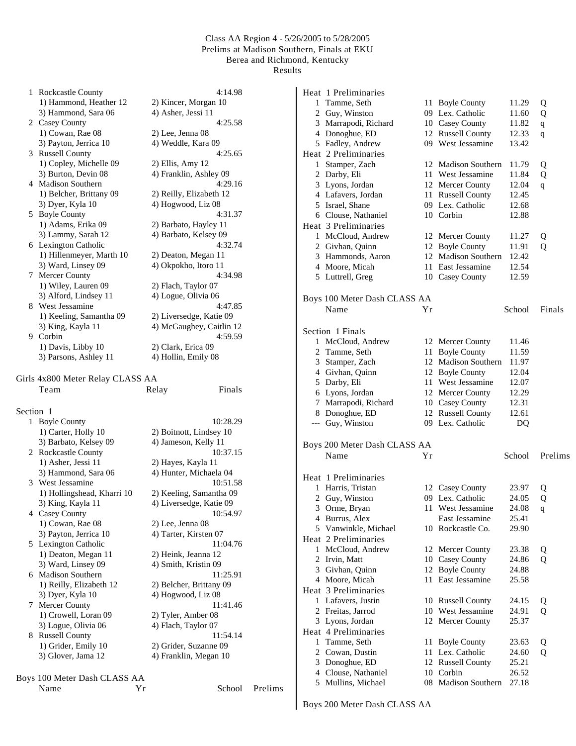| 1         | <b>Rockcastle County</b>                 | 4:14.98                  |         |
|-----------|------------------------------------------|--------------------------|---------|
|           | 1) Hammond, Heather 12                   | 2) Kincer, Morgan 10     |         |
|           | 3) Hammond, Sara 06                      | 4) Asher, Jessi 11       |         |
|           | 2 Casey County                           | 4:25.58                  |         |
|           | 1) Cowan, Rae 08                         | 2) Lee, Jenna 08         |         |
|           | 3) Payton, Jerrica 10                    | 4) Weddle, Kara 09       |         |
|           | 3 Russell County                         | 4:25.65                  |         |
|           | 1) Copley, Michelle 09                   | 2) Ellis, Amy 12         |         |
|           | 3) Burton, Devin 08                      | 4) Franklin, Ashley 09   |         |
|           | 4 Madison Southern                       | 4:29.16                  |         |
|           | 1) Belcher, Brittany 09                  | 2) Reilly, Elizabeth 12  |         |
|           | 3) Dyer, Kyla 10                         | 4) Hogwood, Liz 08       |         |
| 5.        | <b>Boyle County</b>                      | 4:31.37                  |         |
|           | 1) Adams, Erika 09                       | 2) Barbato, Hayley 11    |         |
|           | 3) Lammy, Sarah 12                       | 4) Barbato, Kelsey 09    |         |
|           | 6 Lexington Catholic                     | 4:32.74                  |         |
|           | 1) Hillenmeyer, Marth 10                 | 2) Deaton, Megan 11      |         |
|           | 3) Ward, Linsey 09                       | 4) Okpokho, Itoro 11     |         |
|           | 7 Mercer County                          | 4:34.98                  |         |
|           |                                          |                          |         |
|           | 1) Wiley, Lauren 09                      | 2) Flach, Taylor 07      |         |
|           | 3) Alford, Lindsey 11                    | 4) Logue, Olivia 06      |         |
|           | 8 West Jessamine                         | 4:47.85                  |         |
|           | 1) Keeling, Samantha 09                  | 2) Liversedge, Katie 09  |         |
|           | 3) King, Kayla 11                        | 4) McGaughey, Caitlin 12 |         |
|           | 9 Corbin                                 | 4:59.59                  |         |
|           | 1) Davis, Libby 10                       | 2) Clark, Erica 09       |         |
|           | 3) Parsons, Ashley 11                    | 4) Hollin, Emily 08      |         |
|           | Girls 4x800 Meter Relay CLASS AA<br>Team | Finals<br>Relay          |         |
| Section 1 |                                          |                          |         |
|           | 1 Boyle County                           | 10:28.29                 |         |
|           | 1) Carter, Holly 10                      | 2) Boitnott, Lindsey 10  |         |
|           | 3) Barbato, Kelsey 09                    | 4) Jameson, Kelly 11     |         |
|           | 2 Rockcastle County                      | 10:37.15                 |         |
|           | 1) Asher, Jessi 11                       |                          |         |
|           |                                          | 2) Hayes, Kayla 11       |         |
|           | 3) Hammond, Sara 06<br>3 West Jessamine  | 4) Hunter, Michaela 04   |         |
|           |                                          | 10:51.58                 |         |
|           | 1) Hollingshead, Kharri 10               | 2) Keeling, Samantha 09  |         |
|           | 3) King, Kayla 11                        | 4) Liversedge, Katie 09  |         |
|           | 4 Casey County                           | 10:54.97                 |         |
|           | 1) Cowan, Rae 08                         | 2) Lee, Jenna 08         |         |
|           | 3) Payton, Jerrica 10                    | 4) Tarter, Kirsten 07    |         |
|           | 5 Lexington Catholic                     | 11:04.76                 |         |
|           | 1) Deaton, Megan 11                      | 2) Heink, Jeanna 12      |         |
|           | 3) Ward, Linsey 09                       | 4) Smith, Kristin 09     |         |
|           | 6 Madison Southern                       | 11:25.91                 |         |
|           | 1) Reilly, Elizabeth 12                  | 2) Belcher, Brittany 09  |         |
|           | 3) Dyer, Kyla 10                         | 4) Hogwood, Liz 08       |         |
| 7         | Mercer County                            | 11:41.46                 |         |
|           | 1) Crowell, Loran 09                     | 2) Tyler, Amber 08       |         |
|           | 3) Logue, Olivia 06                      | 4) Flach, Taylor 07      |         |
|           | 8 Russell County                         | 11:54.14                 |         |
|           | 1) Grider, Emily 10                      | 2) Grider, Suzanne 09    |         |
|           | 3) Glover, Jama 12                       | 4) Franklin, Megan 10    |         |
|           |                                          |                          |         |
|           | Boys 100 Meter Dash CLASS AA             |                          |         |
|           | Name<br>Yr                               | School                   | Prelims |
|           |                                          |                          |         |

|              | Heat 1 Preliminaries         |    |                       |        |         |
|--------------|------------------------------|----|-----------------------|--------|---------|
|              | 1 Tamme, Seth                | 11 | <b>Boyle County</b>   | 11.29  | Q       |
|              | 2 Guy, Winston               |    | 09 Lex. Catholic      | 11.60  | Q       |
|              | 3 Marrapodi, Richard         |    | 10 Casey County       | 11.82  | q       |
|              | 4 Donoghue, ED               |    | 12 Russell County     | 12.33  | q       |
|              | 5 Fadley, Andrew             |    | 09 West Jessamine     | 13.42  |         |
|              | Heat 2 Preliminaries         |    |                       |        |         |
|              | 1 Stamper, Zach              |    | 12 Madison Southern   | 11.79  | Q       |
|              | 2 Darby, Eli                 |    | 11 West Jessamine     | 11.84  | Q       |
|              | 3 Lyons, Jordan              |    | 12 Mercer County      | 12.04  | q       |
|              | 4 Lafavers, Jordan           | 11 | <b>Russell County</b> | 12.45  |         |
|              | 5 Israel, Shane              |    | 09 Lex. Catholic      | 12.68  |         |
|              | 6 Clouse, Nathaniel          |    | 10 Corbin             | 12.88  |         |
|              | Heat 3 Preliminaries         |    |                       |        |         |
|              | 1 McCloud, Andrew            |    | 12 Mercer County      | 11.27  | Q       |
|              | 2 Givhan, Quinn              |    | 12 Boyle County       | 11.91  | Q       |
|              | 3 Hammonds, Aaron            |    | 12 Madison Southern   | 12.42  |         |
|              | 4 Moore, Micah               |    | 11 East Jessamine     | 12.54  |         |
|              | 5 Luttrell, Greg             |    | 10 Casey County       | 12.59  |         |
|              |                              |    |                       |        |         |
|              | Boys 100 Meter Dash CLASS AA |    |                       |        |         |
|              | Name                         | Υr |                       | School | Finals  |
|              |                              |    |                       |        |         |
|              | Section 1 Finals             |    |                       |        |         |
|              | 1 McCloud, Andrew            |    | 12 Mercer County      | 11.46  |         |
|              | 2 Tamme, Seth                | 11 | <b>Boyle County</b>   | 11.59  |         |
|              | 3 Stamper, Zach              |    | 12 Madison Southern   | 11.97  |         |
|              | 4 Givhan, Quinn              |    | 12 Boyle County       | 12.04  |         |
|              | 5 Darby, Eli                 |    | 11 West Jessamine     | 12.07  |         |
|              | 6 Lyons, Jordan              |    | 12 Mercer County      | 12.29  |         |
|              | 7 Marrapodi, Richard         |    | 10 Casey County       | 12.31  |         |
|              | 8 Donoghue, ED               |    | 12 Russell County     | 12.61  |         |
|              | --- Guy, Winston             |    | 09 Lex. Catholic      | DQ     |         |
|              |                              |    |                       |        |         |
|              | Boys 200 Meter Dash CLASS AA |    |                       |        |         |
|              | Name                         | Υr |                       | School | Prelims |
|              |                              |    |                       |        |         |
|              | Heat 1 Preliminaries         |    |                       |        |         |
|              | 1 Harris, Tristan            |    | 12 Casey County       | 23.97  | Q       |
|              | 2 Guy, Winston               |    | 09 Lex. Catholic      | 24.05  | Q       |
|              | 3 Orme, Bryan                |    | 11 West Jessamine     | 24.08  | q       |
|              | 4 Burrus, Alex               |    | East Jessamine        | 25.41  |         |
|              | 5 Vanwinkle, Michael         |    | 10 Rockcastle Co.     | 29.90  |         |
|              | Heat 2 Preliminaries         |    |                       |        |         |
| $\mathbf{1}$ | McCloud, Andrew              | 12 | Mercer County         | 23.38  | Q       |
|              | 2 Irvin, Matt                |    | 10 Casey County       | 24.86  | Q       |
|              | 3 Givhan, Quinn              | 12 | <b>Boyle County</b>   | 24.88  |         |
|              | 4 Moore, Micah               | 11 | East Jessamine        | 25.58  |         |
|              | Heat 3 Preliminaries         |    |                       |        |         |
|              | 1 Lafavers, Justin           |    | 10 Russell County     | 24.15  | Q       |
|              | 2 Freitas, Jarrod            |    | 10 West Jessamine     | 24.91  | Q       |
|              | 3 Lyons, Jordan              |    | 12 Mercer County      | 25.37  |         |
|              | Heat 4 Preliminaries         |    |                       |        |         |
| 1            | Tamme, Seth                  | 11 | <b>Boyle County</b>   | 23.63  | Q       |
|              | 2 Cowan, Dustin              | 11 | Lex. Catholic         | 24.60  | Q       |
|              | 3 Donoghue, ED               |    |                       |        |         |
|              |                              | 12 | <b>Russell County</b> | 25.21  |         |
|              | 4 Clouse, Nathaniel          | 10 | Corbin                | 26.52  |         |

Boys 200 Meter Dash CLASS AA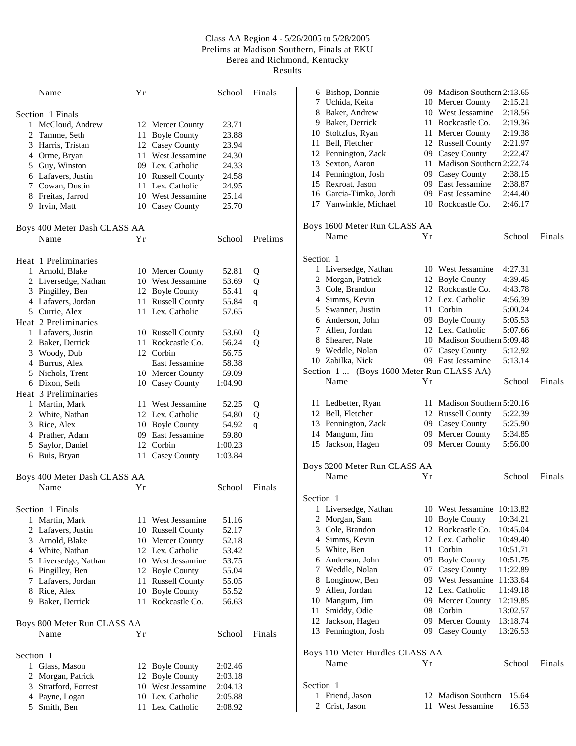Results

| Name                         | Υr  |                       | School  | Finals      |
|------------------------------|-----|-----------------------|---------|-------------|
| Section 1 Finals             |     |                       |         |             |
| McCloud, Andrew<br>1         |     | 12 Mercer County      | 23.71   |             |
| 2 Tamme, Seth                |     | 11 Boyle County       | 23.88   |             |
| 3 Harris, Tristan            |     | 12 Casey County       | 23.94   |             |
| 4 Orme, Bryan                |     | 11 West Jessamine     | 24.30   |             |
| 5 Guy, Winston               |     | 09 Lex. Catholic      | 24.33   |             |
| 6 Lafavers, Justin           |     | 10 Russell County     | 24.58   |             |
| 7 Cowan, Dustin              |     | 11 Lex. Catholic      | 24.95   |             |
| 8 Freitas, Jarrod            |     | 10 West Jessamine     | 25.14   |             |
| 9 Irvin, Matt                |     | 10 Casey County       | 25.70   |             |
| Boys 400 Meter Dash CLASS AA |     |                       |         |             |
| Name                         | Υr  |                       | School  | Prelims     |
| Heat 1 Preliminaries         |     |                       |         |             |
| 1 Arnold, Blake              |     | 10 Mercer County      | 52.81   | Q           |
| 2 Liversedge, Nathan         |     | 10 West Jessamine     | 53.69   | Q           |
| 3 Pingilley, Ben             |     | 12 Boyle County       | 55.41   | $\mathbf q$ |
| 4 Lafavers, Jordan           | 11  | <b>Russell County</b> | 55.84   | q           |
| 5 Currie, Alex               |     | 11 Lex. Catholic      | 57.65   |             |
| Heat 2 Preliminaries         |     |                       |         |             |
| 1 Lafavers, Justin           |     | 10 Russell County     | 53.60   | Q           |
| 2 Baker, Derrick             | 11. | Rockcastle Co.        | 56.24   | Q           |
| 3 Woody, Dub                 |     | 12 Corbin             | 56.75   |             |
| 4 Burrus, Alex               |     | East Jessamine        | 58.38   |             |
|                              |     |                       |         |             |
| 5 Nichols, Trent             |     | 10 Mercer County      | 59.09   |             |
| 6 Dixon, Seth                |     | 10 Casey County       | 1:04.90 |             |
| Heat 3 Preliminaries         |     |                       |         |             |
| 1 Martin, Mark               | 11  | West Jessamine        | 52.25   | Q           |
| 2 White, Nathan              |     | 12 Lex. Catholic      | 54.80   | Q           |
| 3 Rice, Alex                 |     | 10 Boyle County       | 54.92   | q           |
| 4 Prather, Adam              |     | 09 East Jessamine     | 59.80   |             |
| 5 Saylor, Daniel             |     | 12 Corbin             | 1:00.23 |             |
| 6 Buis, Bryan                | 11  | <b>Casey County</b>   | 1:03.84 |             |
| Boys 400 Meter Dash CLASS AA |     |                       |         |             |
| Name                         | Υr  |                       | School  | Finals      |
| Section 1 Finals             |     |                       |         |             |
| Martin, Mark<br>1            |     | 11 West Jessamine     | 51.16   |             |
| 2 Lafavers, Justin           |     | 10 Russell County     | 52.17   |             |
| 3 Arnold, Blake              |     | 10 Mercer County      | 52.18   |             |
| 4 White, Nathan              |     | 12 Lex. Catholic      | 53.42   |             |
| 5 Liversedge, Nathan         |     | 10 West Jessamine     | 53.75   |             |
| 6 Pingilley, Ben             | 12  | <b>Boyle County</b>   | 55.04   |             |
| 7 Lafavers, Jordan           | 11  | <b>Russell County</b> | 55.05   |             |
| 8 Rice, Alex                 | 10  | <b>Boyle County</b>   | 55.52   |             |
| 9 Baker, Derrick             | 11  | Rockcastle Co.        | 56.63   |             |
| Boys 800 Meter Run CLASS AA  |     |                       |         |             |
| Name                         | Υr  |                       | School  | Finals      |
| Section 1                    |     |                       |         |             |
| 1 Glass, Mason               |     | 12 Boyle County       | 2:02.46 |             |
| 2 Morgan, Patrick            | 12  | <b>Boyle County</b>   | 2:03.18 |             |
| 3 Stratford, Forrest         | 10  | West Jessamine        | 2:04.13 |             |
| 4 Payne, Logan               |     | 10 Lex. Catholic      | 2:05.88 |             |
| 5 Smith, Ben                 |     | 11 Lex. Catholic      | 2:08.92 |             |

| 6 Bishop, Donnie<br>Uchida, Keita<br>7<br>8 Baker, Andrew<br>9 Baker, Derrick<br>10 Stoltzfus, Ryan<br>11 Bell, Fletcher<br>12 Pennington, Zack<br>13 Sexton, Aaron |    | 09 Madison Southern 2:13.65<br>10 Mercer County<br>10 West Jessamine<br>11 Rockcastle Co.<br>11 Mercer County<br>12 Russell County<br>09 Casey County<br>11 Madison Southern 2:22.74 | 2:15.21<br>2:18.56<br>2:19.36<br>2:19.38<br>2:21.97<br>2:22.47 |        |
|---------------------------------------------------------------------------------------------------------------------------------------------------------------------|----|--------------------------------------------------------------------------------------------------------------------------------------------------------------------------------------|----------------------------------------------------------------|--------|
| 14 Pennington, Josh                                                                                                                                                 |    | 09 Casey County                                                                                                                                                                      | 2:38.15                                                        |        |
| 15 Rexroat, Jason                                                                                                                                                   |    | 09 East Jessamine                                                                                                                                                                    | 2:38.87                                                        |        |
| 16 Garcia-Timko, Jordi                                                                                                                                              |    | 09 East Jessamine                                                                                                                                                                    | 2:44.40                                                        |        |
| 17 Vanwinkle, Michael                                                                                                                                               |    | 10 Rockcastle Co.                                                                                                                                                                    | 2:46.17                                                        |        |
| Boys 1600 Meter Run CLASS AA                                                                                                                                        |    |                                                                                                                                                                                      |                                                                |        |
| Name                                                                                                                                                                | Υr |                                                                                                                                                                                      | School                                                         | Finals |
| Section 1                                                                                                                                                           |    |                                                                                                                                                                                      |                                                                |        |
| 1 Liversedge, Nathan                                                                                                                                                |    | 10 West Jessamine                                                                                                                                                                    | 4:27.31                                                        |        |
| Morgan, Patrick<br>2                                                                                                                                                |    | 12 Boyle County                                                                                                                                                                      | 4:39.45                                                        |        |
| 3 Cole, Brandon                                                                                                                                                     |    | 12 Rockcastle Co.                                                                                                                                                                    | 4:43.78                                                        |        |
| 4 Simms, Kevin                                                                                                                                                      |    | 12 Lex. Catholic                                                                                                                                                                     | 4:56.39                                                        |        |
| 5 Swanner, Justin                                                                                                                                                   |    | 11 Corbin                                                                                                                                                                            | 5:00.24                                                        |        |
| 6 Anderson, John                                                                                                                                                    |    | 09 Boyle County                                                                                                                                                                      | 5:05.53                                                        |        |
| 7<br>Allen, Jordan                                                                                                                                                  |    | 12 Lex. Catholic                                                                                                                                                                     | 5:07.66                                                        |        |
| 8 Shearer, Nate                                                                                                                                                     |    | 10 Madison Southern 5:09.48                                                                                                                                                          |                                                                |        |
| 9 Weddle, Nolan                                                                                                                                                     |    | 07 Casey County                                                                                                                                                                      | 5:12.92                                                        |        |
| 10 Zabilka, Nick                                                                                                                                                    |    | 09 East Jessamine                                                                                                                                                                    | 5:13.14                                                        |        |
| Section 1  (Boys 1600 Meter Run CLASS AA)<br>Name                                                                                                                   | Υr |                                                                                                                                                                                      | School                                                         | Finals |
| 11 Ledbetter, Ryan                                                                                                                                                  |    | 11 Madison Southern 5:20.16                                                                                                                                                          |                                                                |        |
| 12 Bell, Fletcher                                                                                                                                                   |    | 12 Russell County                                                                                                                                                                    | 5:22.39                                                        |        |
| 13 Pennington, Zack                                                                                                                                                 |    | 09 Casey County                                                                                                                                                                      | 5:25.90                                                        |        |
| 14 Mangum, Jim                                                                                                                                                      |    | 09 Mercer County                                                                                                                                                                     | 5:34.85                                                        |        |
| 15 Jackson, Hagen                                                                                                                                                   |    | 09 Mercer County                                                                                                                                                                     | 5:56.00                                                        |        |
| Boys 3200 Meter Run CLASS AA                                                                                                                                        |    |                                                                                                                                                                                      |                                                                |        |
| Name                                                                                                                                                                | Υr |                                                                                                                                                                                      | School                                                         | Finals |
|                                                                                                                                                                     |    |                                                                                                                                                                                      |                                                                |        |
| Section 1                                                                                                                                                           |    |                                                                                                                                                                                      |                                                                |        |
| 1<br>Liversedge, Nathan                                                                                                                                             |    | 10 West Jessamine                                                                                                                                                                    | 10:13.82                                                       |        |
| 2<br>Morgan, Sam                                                                                                                                                    |    | 10 Boyle County                                                                                                                                                                      | 10:34.21                                                       |        |
| 3<br>Cole, Brandon                                                                                                                                                  |    | 12 Rockcastle Co.                                                                                                                                                                    | 10:45.04                                                       |        |
| Simms, Kevin<br>4                                                                                                                                                   |    | 12 Lex. Catholic                                                                                                                                                                     | 10:49.40                                                       |        |
| White, Ben<br>5.                                                                                                                                                    |    | 11 Corbin                                                                                                                                                                            | 10:51.71                                                       |        |
| Anderson, John<br>6                                                                                                                                                 |    | 09 Boyle County                                                                                                                                                                      | 10:51.75                                                       |        |
| Weddle, Nolan<br>7                                                                                                                                                  |    | 07 Casey County                                                                                                                                                                      | 11:22.89                                                       |        |
| 8<br>Longinow, Ben                                                                                                                                                  |    | 09 West Jessamine                                                                                                                                                                    | 11:33.64                                                       |        |
| 9<br>Allen, Jordan                                                                                                                                                  |    | 12 Lex. Catholic                                                                                                                                                                     | 11:49.18                                                       |        |
| Mangum, Jim<br>10                                                                                                                                                   |    | 09 Mercer County                                                                                                                                                                     | 12:19.85                                                       |        |
| Smiddy, Odie<br>11<br>12 Jackson, Hagen                                                                                                                             |    | 08 Corbin<br>09 Mercer County                                                                                                                                                        | 13:02.57<br>13:18.74                                           |        |
| 13 Pennington, Josh                                                                                                                                                 |    | 09 Casey County                                                                                                                                                                      | 13:26.53                                                       |        |
|                                                                                                                                                                     |    |                                                                                                                                                                                      |                                                                |        |
| Boys 110 Meter Hurdles CLASS AA                                                                                                                                     |    |                                                                                                                                                                                      |                                                                |        |
| Name                                                                                                                                                                | Yr |                                                                                                                                                                                      | School                                                         | Finals |
|                                                                                                                                                                     |    |                                                                                                                                                                                      |                                                                |        |
| Section 1                                                                                                                                                           |    |                                                                                                                                                                                      |                                                                |        |
| Friend, Jason<br>1                                                                                                                                                  | 12 | <b>Madison Southern</b>                                                                                                                                                              | 15.64                                                          |        |
| 2 Crist, Jason                                                                                                                                                      | 11 | West Jessamine                                                                                                                                                                       | 16.53                                                          |        |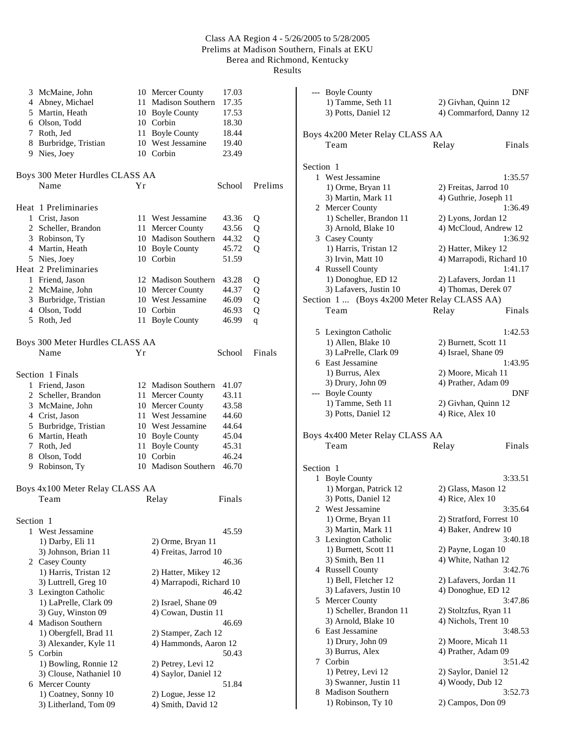Results

|           | 3 McMaine, John                 |     | 10 Mercer County         | 17.03  |         |
|-----------|---------------------------------|-----|--------------------------|--------|---------|
|           | 4 Abney, Michael                | 11  | <b>Madison Southern</b>  | 17.35  |         |
|           | 5 Martin, Heath                 |     | 10 Boyle County          | 17.53  |         |
|           | 6 Olson, Todd                   |     | 10 Corbin                | 18.30  |         |
|           | 7 Roth, Jed                     |     | 11 Boyle County          | 18.44  |         |
|           | 8 Burbridge, Tristian           |     | 10 West Jessamine        | 19.40  |         |
|           | 9 Nies, Joey                    |     | 10 Corbin                | 23.49  |         |
|           | Boys 300 Meter Hurdles CLASS AA |     |                          |        |         |
|           | Name                            | Υr  |                          | School | Prelims |
|           |                                 |     |                          |        |         |
|           | Heat 1 Preliminaries            |     |                          |        |         |
|           | 1 Crist, Jason                  |     | 11 West Jessamine        | 43.36  | Q       |
|           | 2 Scheller, Brandon             | 11- | Mercer County            | 43.56  | Q       |
|           | 3 Robinson, Ty                  |     | 10 Madison Southern      | 44.32  | Q       |
|           | 4 Martin, Heath                 |     | 10 Boyle County          | 45.72  | Q       |
|           | 5 Nies, Joey                    |     | 10 Corbin                | 51.59  |         |
|           | Heat 2 Preliminaries            |     |                          |        |         |
|           | 1 Friend, Jason                 |     | 12 Madison Southern      | 43.28  | Q       |
|           | 2 McMaine, John                 |     | 10 Mercer County         | 44.37  | Q       |
|           | 3 Burbridge, Tristian           |     | 10 West Jessamine        | 46.09  | Q       |
|           | 4 Olson, Todd                   |     | 10 Corbin                | 46.93  | Q       |
|           | 5 Roth, Jed                     |     | 11 Boyle County          | 46.99  | q       |
|           |                                 |     |                          |        |         |
|           | Boys 300 Meter Hurdles CLASS AA |     |                          |        |         |
|           | Name                            | Υr  |                          | School | Finals  |
|           | Section 1 Finals                |     |                          |        |         |
|           | 1 Friend, Jason                 |     | 12 Madison Southern      | 41.07  |         |
|           | 2 Scheller, Brandon             | 11  | Mercer County            | 43.11  |         |
|           | 3 McMaine, John                 |     | 10 Mercer County         | 43.58  |         |
|           | 4 Crist, Jason                  |     | 11 West Jessamine        | 44.60  |         |
|           | 5 Burbridge, Tristian           |     | 10 West Jessamine        | 44.64  |         |
|           | 6 Martin, Heath                 |     | 10 Boyle County          | 45.04  |         |
|           | 7 Roth, Jed                     | 11  | <b>Boyle County</b>      | 45.31  |         |
|           | 8 Olson, Todd                   |     | 10 Corbin                | 46.24  |         |
|           | 9 Robinson, Ty                  |     | 10 Madison Southern      | 46.70  |         |
|           | Boys 4x100 Meter Relay CLASS AA |     |                          |        |         |
|           | Team                            |     | Relay                    | Finals |         |
|           |                                 |     |                          |        |         |
| Section 1 |                                 |     |                          |        |         |
|           | 1 West Jessamine                |     |                          | 45.59  |         |
|           | 1) Darby, Eli 11                |     | 2) Orme, Bryan 11        |        |         |
|           | 3) Johnson, Brian 11            |     | 4) Freitas, Jarrod 10    |        |         |
|           | 2 Casey County                  |     |                          | 46.36  |         |
|           | 1) Harris, Tristan 12           |     | 2) Hatter, Mikey 12      |        |         |
|           | 3) Luttrell, Greg 10            |     | 4) Marrapodi, Richard 10 |        |         |
|           | 3 Lexington Catholic            |     |                          | 46.42  |         |
|           | 1) LaPrelle, Clark 09           |     | 2) Israel, Shane 09      |        |         |
|           | 3) Guy, Winston 09              |     | 4) Cowan, Dustin 11      |        |         |
|           | 4 Madison Southern              |     |                          | 46.69  |         |
|           | 1) Obergfell, Brad 11           |     | 2) Stamper, Zach 12      |        |         |
|           | 3) Alexander, Kyle 11           |     | 4) Hammonds, Aaron 12    |        |         |
|           | 5 Corbin                        |     |                          | 50.43  |         |
|           | 1) Bowling, Ronnie 12           |     | 2) Petrey, Levi 12       |        |         |
|           | 3) Clouse, Nathaniel 10         |     | 4) Saylor, Daniel 12     |        |         |
|           | 6 Mercer County                 |     |                          | 51.84  |         |
|           | 1) Coatney, Sonny 10            |     | 2) Logue, Jesse 12       |        |         |
|           | 3) Litherland, Tom 09           |     | 4) Smith, David 12       |        |         |

|           | --- Boyle County                             |                                                | DNF     |
|-----------|----------------------------------------------|------------------------------------------------|---------|
|           | 1) Tamme, Seth 11                            | 2) Givhan, Quinn 12                            |         |
|           | 3) Potts, Daniel 12                          | 4) Commarford, Danny 12                        |         |
|           |                                              |                                                |         |
|           | Boys 4x200 Meter Relay CLASS AA              |                                                |         |
|           | Team                                         | Relay                                          | Finals  |
|           |                                              |                                                |         |
| Section 1 |                                              |                                                |         |
|           | 1 West Jessamine<br>1) Orme, Bryan 11        |                                                | 1:35.57 |
|           | 3) Martin, Mark 11                           | 2) Freitas, Jarrod 10<br>4) Guthrie, Joseph 11 |         |
|           | 2 Mercer County                              |                                                | 1:36.49 |
|           | 1) Scheller, Brandon 11                      | 2) Lyons, Jordan 12                            |         |
|           | 3) Arnold, Blake 10                          | 4) McCloud, Andrew 12                          |         |
|           | 3 Casey County                               |                                                | 1:36.92 |
|           | 1) Harris, Tristan 12                        | 2) Hatter, Mikey 12                            |         |
|           | 3) Irvin, Matt 10                            | 4) Marrapodi, Richard 10                       |         |
|           | 4 Russell County                             |                                                | 1:41.17 |
|           | 1) Donoghue, ED 12                           | 2) Lafavers, Jordan 11                         |         |
|           | 3) Lafavers, Justin 10                       | 4) Thomas, Derek 07                            |         |
|           | Section 1  (Boys 4x200 Meter Relay CLASS AA) |                                                |         |
|           | Team                                         | Relay                                          | Finals  |
|           |                                              |                                                |         |
|           | 5 Lexington Catholic                         |                                                | 1:42.53 |
|           | 1) Allen, Blake 10                           | 2) Burnett, Scott 11                           |         |
|           | 3) LaPrelle, Clark 09                        | 4) Israel, Shane 09                            |         |
|           | 6 East Jessamine                             |                                                | 1:43.95 |
|           | 1) Burrus, Alex                              | 2) Moore, Micah 11                             |         |
|           | 3) Drury, John 09                            | 4) Prather, Adam 09                            |         |
|           | --- Boyle County                             |                                                | DNF     |
|           | 1) Tamme, Seth 11                            | 2) Givhan, Quinn 12                            |         |
|           | 3) Potts, Daniel 12                          | 4) Rice, Alex 10                               |         |
|           | Boys 4x400 Meter Relay CLASS AA              |                                                |         |
|           | Team                                         | Relay                                          | Finals  |
|           |                                              |                                                |         |
| Section 1 |                                              |                                                |         |
|           | 1 Boyle County                               |                                                | 3:33.51 |
|           | 1) Morgan, Patrick 12                        | 2) Glass, Mason 12                             |         |
|           | 3) Potts, Daniel 12                          | 4) Rice, Alex 10                               |         |
| 2         | West Jessamine                               |                                                | 3:35.64 |
|           | 1) Orme, Bryan 11                            | 2) Stratford, Forrest 10                       |         |
|           | 3) Martin, Mark 11                           | 4) Baker, Andrew 10                            |         |
| 3         | Lexington Catholic                           |                                                | 3:40.18 |
|           | 1) Burnett, Scott 11                         | 2) Payne, Logan 10                             |         |
|           | 3) Smith, Ben 11                             | 4) White, Nathan 12                            |         |
|           | 4 Russell County                             |                                                | 3:42.76 |
|           | 1) Bell, Fletcher 12                         | 2) Lafavers, Jordan 11                         |         |
|           | 3) Lafavers, Justin 10                       | 4) Donoghue, ED 12                             | 3:47.86 |
|           | 5 Mercer County<br>1) Scheller, Brandon 11   | 2) Stoltzfus, Ryan 11                          |         |
|           | 3) Arnold, Blake 10                          | 4) Nichols, Trent 10                           |         |
| 6         | East Jessamine                               |                                                | 3:48.53 |
|           | 1) Drury, John 09                            | 2) Moore, Micah 11                             |         |
|           | 3) Burrus, Alex                              | 4) Prather, Adam 09                            |         |
| 7         | Corbin                                       |                                                | 3:51.42 |
|           | 1) Petrey, Levi 12                           | 2) Saylor, Daniel 12                           |         |
|           | 3) Swanner, Justin 11                        | 4) Woody, Dub 12                               |         |
| 8.        | <b>Madison Southern</b>                      |                                                | 3:52.73 |
|           | 1) Robinson, Ty 10                           | 2) Campos, Don 09                              |         |
|           |                                              |                                                |         |